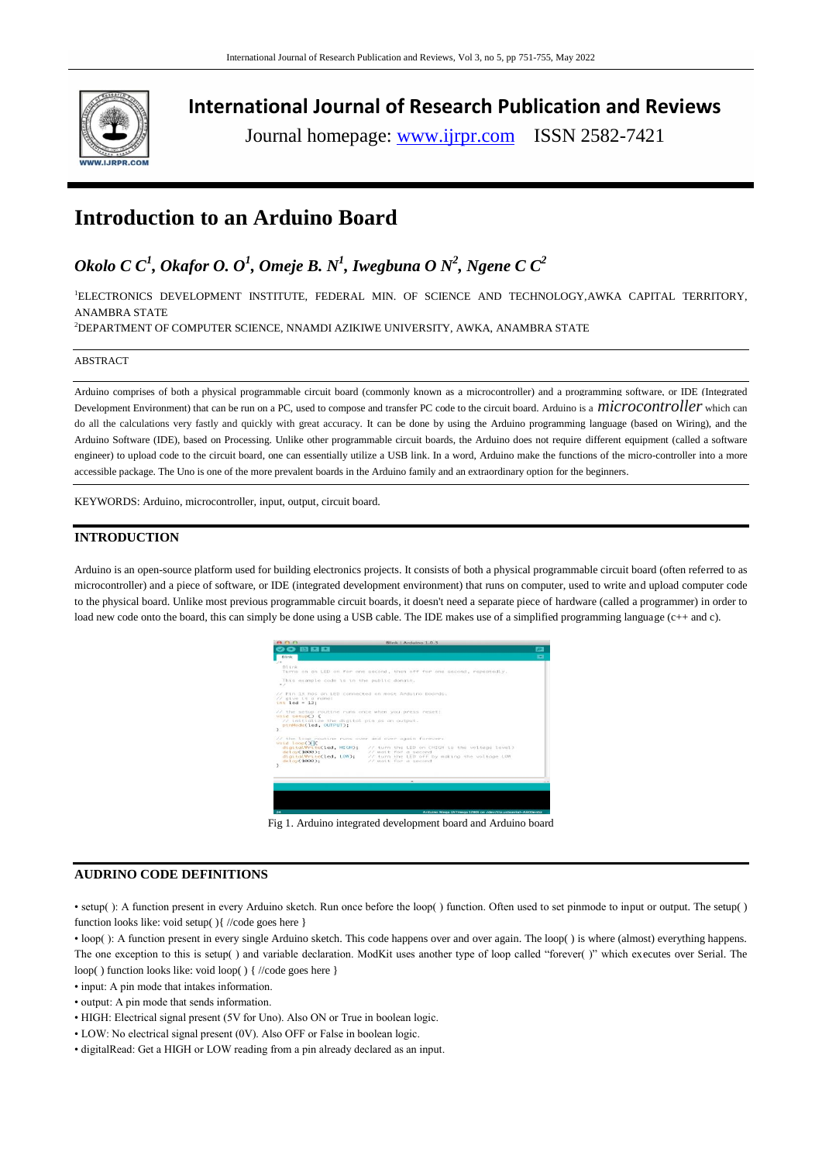

**International Journal of Research Publication and Reviews**

Journal homepage: www.ijrpr.com ISSN 2582-7421

# **Introduction to an Arduino Board**

## *Okolo C C<sup>1</sup> , Okafor O. O<sup>1</sup> , Omeje B. N<sup>1</sup> , Iwegbuna O N<sup>2</sup> , Ngene C C<sup>2</sup>*

<sup>1</sup>ELECTRONICS DEVELOPMENT INSTITUTE, FEDERAL MIN. OF SCIENCE AND TECHNOLOGY, AWKA CAPITAL TERRITORY, ANAMBRA STATE

<sup>2</sup>DEPARTMENT OF COMPUTER SCIENCE, NNAMDI AZIKIWE UNIVERSITY, AWKA, ANAMBRA STATE

#### ABSTRACT

Arduino comprises of both a physical programmable circuit board (commonly known as a microcontroller) and a programming software, or IDE (Integrated Development Environment) that can be run on a PC, used to compose and transfer PC code to the circuit board. Arduino is a *microcontroller* which can do all the calculations very fastly and quickly with great accuracy. It can be done by using the Arduino programming language (based on Wiring), and the Arduino Software (IDE), based on Processing. Unlike other programmable circuit boards, the Arduino does not require different equipment (called a software engineer) to upload code to the circuit board, one can essentially utilize a USB link. In a word, Arduino make the functions of the micro-controller into a more accessible package. The Uno is one of the more prevalent boards in the Arduino family and an extraordinary option for the beginners.

KEYWORDS: Arduino, microcontroller, input, output, circuit board.

### **INTRODUCTION**

Arduino is an open-source platform used for building electronics projects. It consists of both a physical programmable circuit board (often referred to as microcontroller) and a piece of software, or IDE (integrated development environment) that runs on computer, used to write and upload computer code to the physical board. Unlike most previous programmable circuit boards, it doesn't need a separate piece of hardware (called a programmer) in order to load new code onto the board, this can simply be done using a USB cable. The IDE makes use of a simplified programming language (c++ and c).



Fig 1. Arduino integrated development board and Arduino board

## **AUDRINO CODE DEFINITIONS**

• setup( ): A function present in every Arduino sketch. Run once before the loop( ) function. Often used to set pinmode to input or output. The setup( ) function looks like: void setup( ){ //code goes here }

• loop( ): A function present in every single Arduino sketch. This code happens over and over again. The loop( ) is where (almost) everything happens. The one exception to this is setup() and variable declaration. ModKit uses another type of loop called "forever()" which executes over Serial. The loop( ) function looks like: void loop( ) { //code goes here }

- input: A pin mode that intakes information.
- output: A pin mode that sends information.
- HIGH: Electrical signal present (5V for Uno). Also ON or True in boolean logic.
- LOW: No electrical signal present (0V). Also OFF or False in boolean logic.
- digitalRead: Get a HIGH or LOW reading from a pin already declared as an input.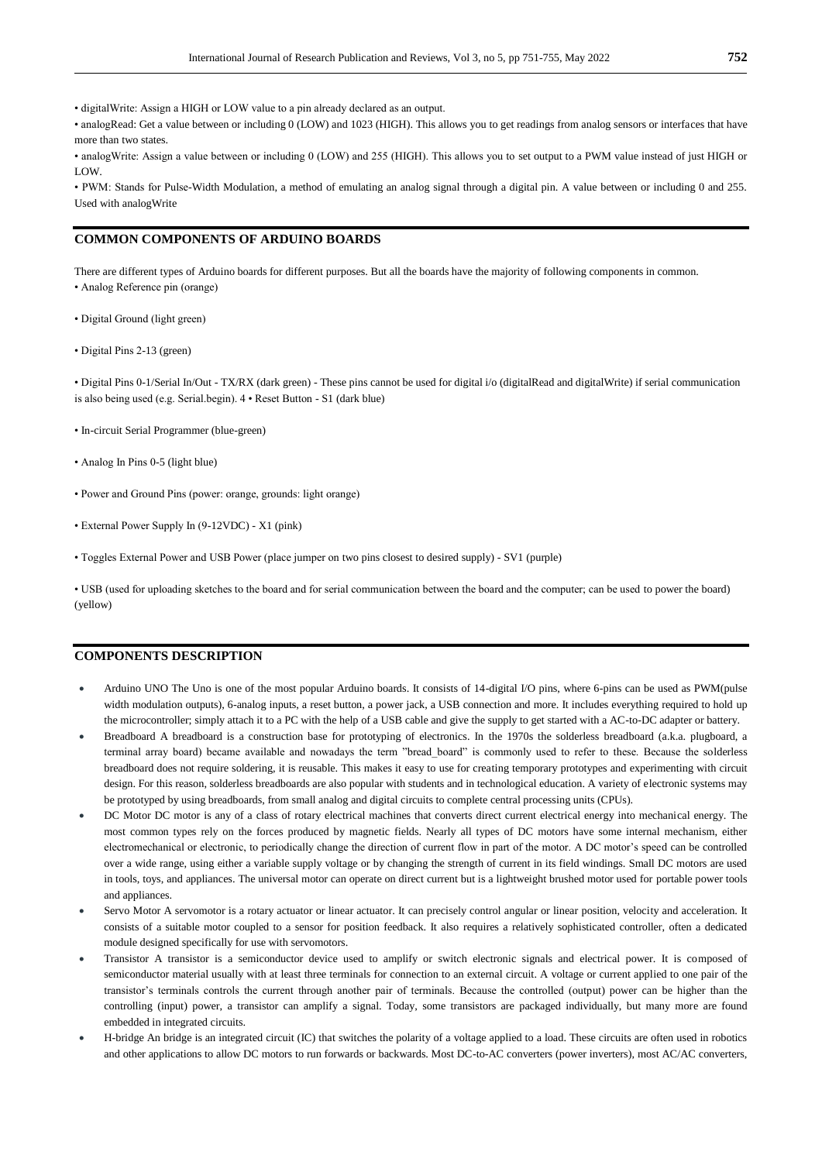• digitalWrite: Assign a HIGH or LOW value to a pin already declared as an output.

• analogRead: Get a value between or including 0 (LOW) and 1023 (HIGH). This allows you to get readings from analog sensors or interfaces that have more than two states.

• analogWrite: Assign a value between or including 0 (LOW) and 255 (HIGH). This allows you to set output to a PWM value instead of just HIGH or LOW.

• PWM: Stands for Pulse-Width Modulation, a method of emulating an analog signal through a digital pin. A value between or including 0 and 255. Used with analogWrite

## **COMMON COMPONENTS OF ARDUINO BOARDS**

There are different types of Arduino boards for different purposes. But all the boards have the majority of following components in common. • Analog Reference pin (orange)

- Digital Ground (light green)
- Digital Pins 2-13 (green)

• Digital Pins 0-1/Serial In/Out - TX/RX (dark green) - These pins cannot be used for digital i/o (digitalRead and digitalWrite) if serial communication is also being used (e.g. Serial.begin). 4 • Reset Button - S1 (dark blue)

- In-circuit Serial Programmer (blue-green)
- Analog In Pins 0-5 (light blue)
- Power and Ground Pins (power: orange, grounds: light orange)
- External Power Supply In (9-12VDC) X1 (pink)
- Toggles External Power and USB Power (place jumper on two pins closest to desired supply) SV1 (purple)

• USB (used for uploading sketches to the board and for serial communication between the board and the computer; can be used to power the board) (yellow)

## **COMPONENTS DESCRIPTION**

- Arduino UNO The Uno is one of the most popular Arduino boards. It consists of 14-digital I/O pins, where 6-pins can be used as PWM(pulse width modulation outputs), 6-analog inputs, a reset button, a power jack, a USB connection and more. It includes everything required to hold up the microcontroller; simply attach it to a PC with the help of a USB cable and give the supply to get started with a AC-to-DC adapter or battery.
- Breadboard A breadboard is a construction base for prototyping of electronics. In the 1970s the solderless breadboard (a.k.a. plugboard, a terminal array board) became available and nowadays the term "bread\_board" is commonly used to refer to these. Because the solderless breadboard does not require soldering, it is reusable. This makes it easy to use for creating temporary prototypes and experimenting with circuit design. For this reason, solderless breadboards are also popular with students and in technological education. A variety of electronic systems may be prototyped by using breadboards, from small analog and digital circuits to complete central processing units (CPUs).
- DC Motor DC motor is any of a class of rotary electrical machines that converts direct current electrical energy into mechanical energy. The most common types rely on the forces produced by magnetic fields. Nearly all types of DC motors have some internal mechanism, either electromechanical or electronic, to periodically change the direction of current flow in part of the motor. A DC motor's speed can be controlled over a wide range, using either a variable supply voltage or by changing the strength of current in its field windings. Small DC motors are used in tools, toys, and appliances. The universal motor can operate on direct current but is a lightweight brushed motor used for portable power tools and appliances.
- Servo Motor A servomotor is a rotary actuator or linear actuator. It can precisely control angular or linear position, velocity and acceleration. It consists of a suitable motor coupled to a sensor for position feedback. It also requires a relatively sophisticated controller, often a dedicated module designed specifically for use with servomotors.
- Transistor A transistor is a semiconductor device used to amplify or switch electronic signals and electrical power. It is composed of semiconductor material usually with at least three terminals for connection to an external circuit. A voltage or current applied to one pair of the transistor's terminals controls the current through another pair of terminals. Because the controlled (output) power can be higher than the controlling (input) power, a transistor can amplify a signal. Today, some transistors are packaged individually, but many more are found embedded in integrated circuits.
- H-bridge An bridge is an integrated circuit (IC) that switches the polarity of a voltage applied to a load. These circuits are often used in robotics and other applications to allow DC motors to run forwards or backwards. Most DC-to-AC converters (power inverters), most AC/AC converters,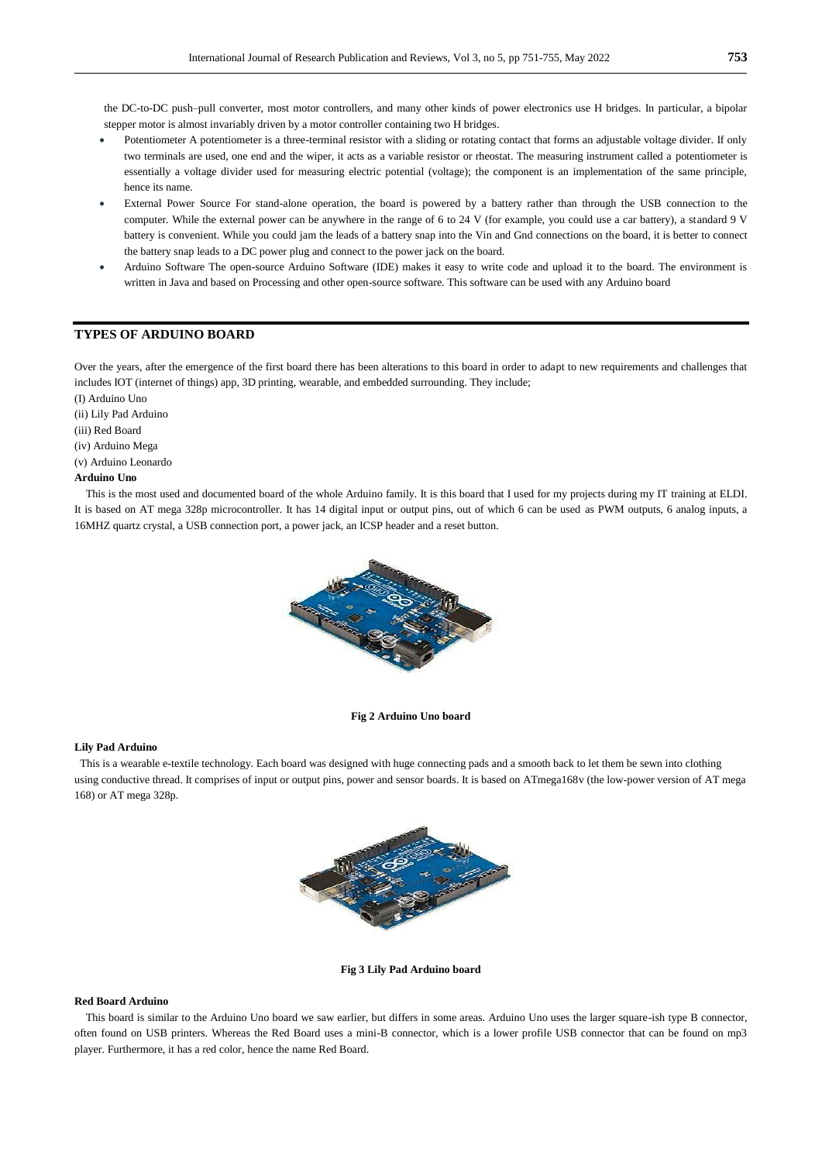the DC-to-DC push–pull converter, most motor controllers, and many other kinds of power electronics use H bridges. In particular, a bipolar stepper motor is almost invariably driven by a motor controller containing two H bridges.

- Potentiometer A potentiometer is a three-terminal resistor with a sliding or rotating contact that forms an adjustable voltage divider. If only two terminals are used, one end and the wiper, it acts as a variable resistor or rheostat. The measuring instrument called a potentiometer is essentially a voltage divider used for measuring electric potential (voltage); the component is an implementation of the same principle, hence its name.
- External Power Source For stand-alone operation, the board is powered by a battery rather than through the USB connection to the computer. While the external power can be anywhere in the range of 6 to 24 V (for example, you could use a car battery), a standard 9 V battery is convenient. While you could jam the leads of a battery snap into the Vin and Gnd connections on the board, it is better to connect the battery snap leads to a DC power plug and connect to the power jack on the board.
- Arduino Software The open-source Arduino Software (IDE) makes it easy to write code and upload it to the board. The environment is written in Java and based on Processing and other open-source software. This software can be used with any Arduino board

## **TYPES OF ARDUINO BOARD**

Over the years, after the emergence of the first board there has been alterations to this board in order to adapt to new requirements and challenges that includes IOT (internet of things) app, 3D printing, wearable, and embedded surrounding. They include;

(I) Arduino Uno

(ii) Lily Pad Arduino

(iii) Red Board

(iv) Arduino Mega

(v) Arduino Leonardo

## **Arduino Uno**

 This is the most used and documented board of the whole Arduino family. It is this board that I used for my projects during my IT training at ELDI. It is based on AT mega 328p microcontroller. It has 14 digital input or output pins, out of which 6 can be used as PWM outputs, 6 analog inputs, a 16MHZ quartz crystal, a USB connection port, a power jack, an ICSP header and a reset button.



#### **Fig 2 Arduino Uno board**

#### **Lily Pad Arduino**

This is a wearable e-textile technology. Each board was designed with huge connecting pads and a smooth back to let them be sewn into clothing using conductive thread. It comprises of input or output pins, power and sensor boards. It is based on ATmega168v (the low-power version of AT mega 168) or AT mega 328p.



**Fig 3 Lily Pad Arduino board**

#### **Red Board Arduino**

 This board is similar to the Arduino Uno board we saw earlier, but differs in some areas. Arduino Uno uses the larger square-ish type B connector, often found on USB printers. Whereas the Red Board uses a mini-B connector, which is a lower profile USB connector that can be found on mp3 player. Furthermore, it has a red color, hence the name Red Board.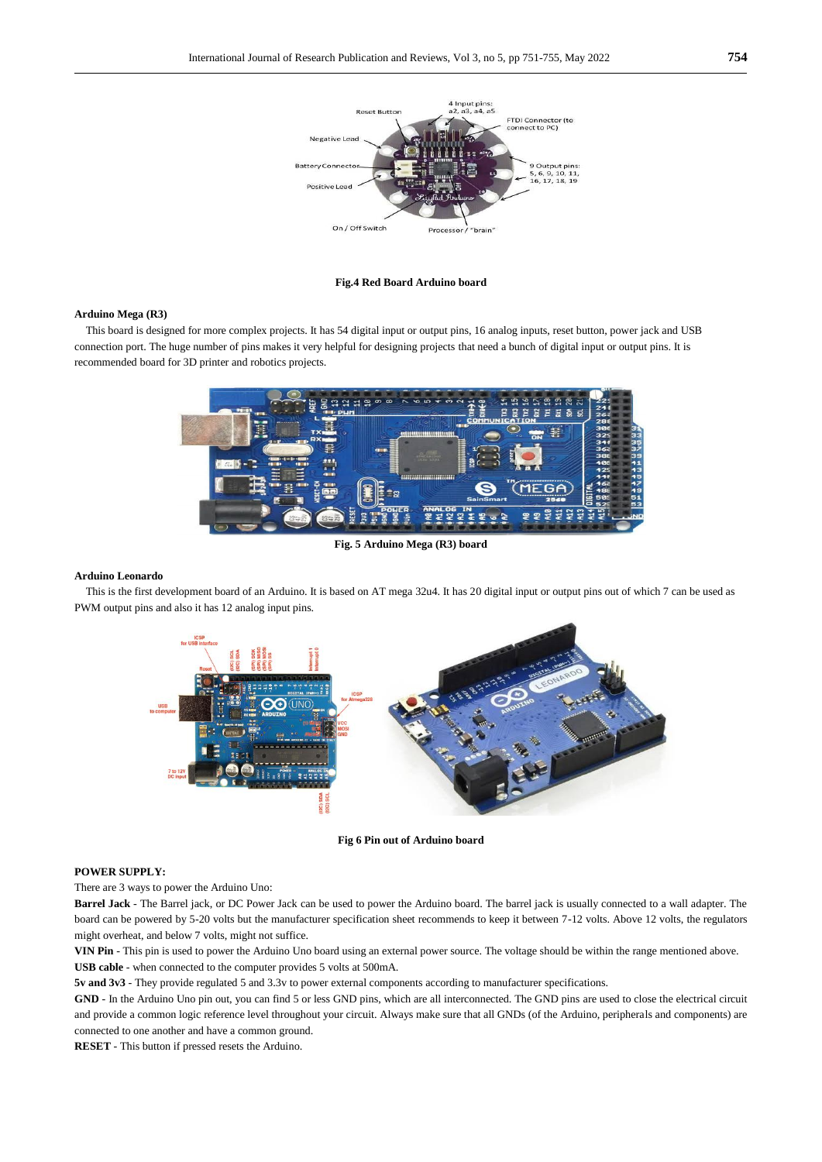

**Fig.4 Red Board Arduino board**

#### **Arduino Mega (R3)**

 This board is designed for more complex projects. It has 54 digital input or output pins, 16 analog inputs, reset button, power jack and USB connection port. The huge number of pins makes it very helpful for designing projects that need a bunch of digital input or output pins. It is recommended board for 3D printer and robotics projects.



**Fig. 5 Arduino Mega (R3) board**

#### **Arduino Leonardo**

 This is the first development board of an Arduino. It is based on AT mega 32u4. It has 20 digital input or output pins out of which 7 can be used as PWM output pins and also it has 12 analog input pins.



**Fig 6 Pin out of Arduino board**

#### **POWER SUPPLY:**

There are 3 ways to power the Arduino Uno:

**Barrel Jack** - The Barrel jack, or DC Power Jack can be used to power the Arduino board. The barrel jack is usually connected to a wall adapter. The board can be powered by 5-20 volts but the manufacturer specification sheet recommends to keep it between 7-12 volts. Above 12 volts, the regulators might overheat, and below 7 volts, might not suffice.

**VIN Pin** - This pin is used to power the Arduino Uno board using an external power source. The voltage should be within the range mentioned above. **USB cable** - when connected to the computer provides 5 volts at 500mA.

**5v and 3v3** - They provide regulated 5 and 3.3v to power external components according to manufacturer specifications.

GND - In the Arduino Uno pin out, you can find 5 or less GND pins, which are all interconnected. The GND pins are used to close the electrical circuit and provide a common logic reference level throughout your circuit. Always make sure that all GNDs (of the Arduino, peripherals and components) are connected to one another and have a common ground.

**RESET** - This button if pressed resets the Arduino.